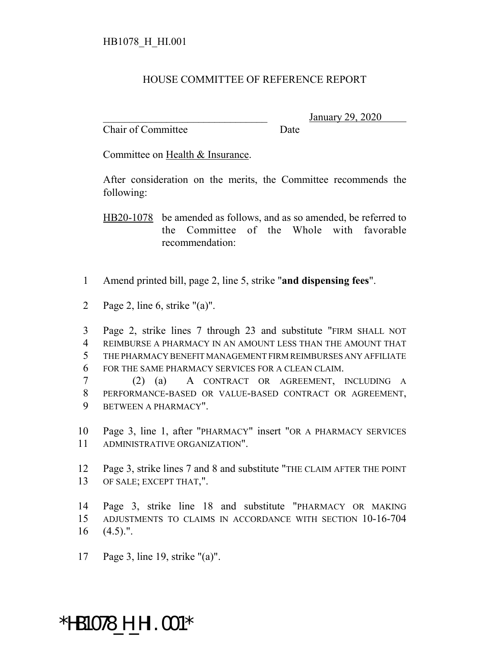## HOUSE COMMITTEE OF REFERENCE REPORT

Chair of Committee Date

\_\_\_\_\_\_\_\_\_\_\_\_\_\_\_\_\_\_\_\_\_\_\_\_\_\_\_\_\_\_\_ January 29, 2020

Committee on Health & Insurance.

After consideration on the merits, the Committee recommends the following:

HB20-1078 be amended as follows, and as so amended, be referred to the Committee of the Whole with favorable recommendation:

- Amend printed bill, page 2, line 5, strike "**and dispensing fees**".
- Page 2, line 6, strike "(a)".

 Page 2, strike lines 7 through 23 and substitute "FIRM SHALL NOT REIMBURSE A PHARMACY IN AN AMOUNT LESS THAN THE AMOUNT THAT THE PHARMACY BENEFIT MANAGEMENT FIRM REIMBURSES ANY AFFILIATE FOR THE SAME PHARMACY SERVICES FOR A CLEAN CLAIM.

 (2) (a) A CONTRACT OR AGREEMENT, INCLUDING A PERFORMANCE-BASED OR VALUE-BASED CONTRACT OR AGREEMENT, BETWEEN A PHARMACY".

 Page 3, line 1, after "PHARMACY" insert "OR A PHARMACY SERVICES ADMINISTRATIVE ORGANIZATION".

 Page 3, strike lines 7 and 8 and substitute "THE CLAIM AFTER THE POINT OF SALE; EXCEPT THAT,".

 Page 3, strike line 18 and substitute "PHARMACY OR MAKING ADJUSTMENTS TO CLAIMS IN ACCORDANCE WITH SECTION 10-16-704  $(4.5)$ .".

Page 3, line 19, strike "(a)".

## \*HB1078\_H\_HI.001\*